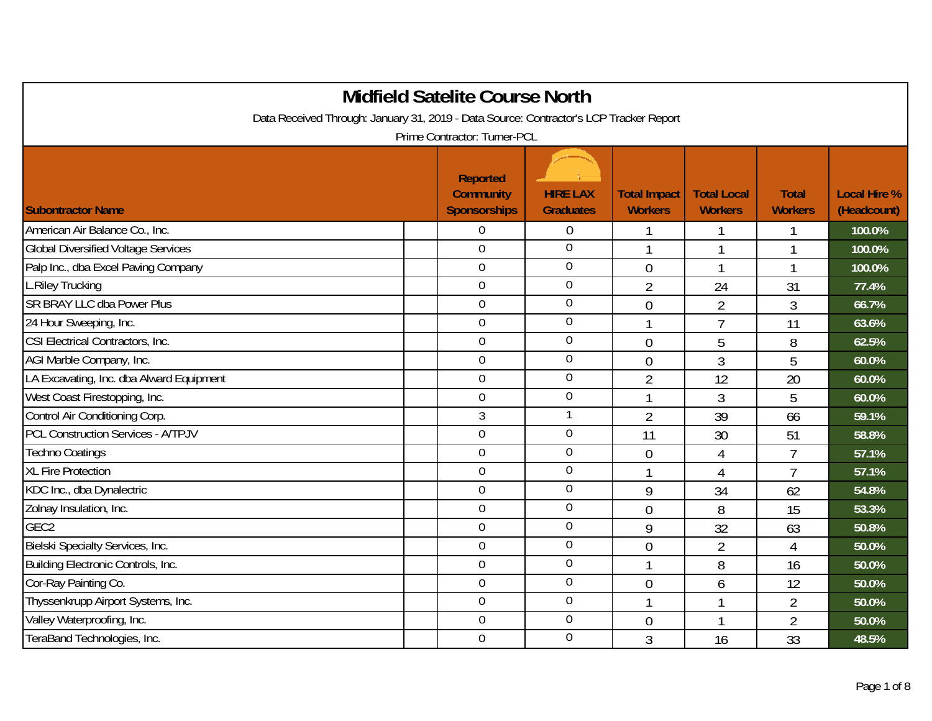|                                                                                        | <b>Midfield Satelite Course North</b>                      |                                     |                                       |                                      |                                |                                    |
|----------------------------------------------------------------------------------------|------------------------------------------------------------|-------------------------------------|---------------------------------------|--------------------------------------|--------------------------------|------------------------------------|
| Data Received Through: January 31, 2019 - Data Source: Contractor's LCP Tracker Report |                                                            |                                     |                                       |                                      |                                |                                    |
|                                                                                        | Prime Contractor: Turner-PCL                               |                                     |                                       |                                      |                                |                                    |
| <b>Subontractor Name</b>                                                               | <b>Reported</b><br><b>Community</b><br><b>Sponsorships</b> | <b>HIRE LAX</b><br><b>Graduates</b> | <b>Total Impact</b><br><b>Workers</b> | <b>Total Local</b><br><b>Workers</b> | <b>Total</b><br><b>Workers</b> | <b>Local Hire %</b><br>(Headcount) |
| American Air Balance Co., Inc.                                                         | $\theta$                                                   | 0                                   |                                       |                                      |                                | 100.0%                             |
| <b>Global Diversified Voltage Services</b>                                             | $\mathbf 0$                                                | 0                                   | 1                                     |                                      |                                | 100.0%                             |
| Palp Inc., dba Excel Paving Company                                                    | $\mathbf 0$                                                | $\boldsymbol{0}$                    | $\overline{0}$                        |                                      |                                | 100.0%                             |
| <b>L.Riley Trucking</b>                                                                | $\overline{0}$                                             | $\overline{0}$                      | $\overline{2}$                        | 24                                   | 31                             | 77.4%                              |
| <b>SR BRAY LLC dba Power Plus</b>                                                      | $\overline{0}$                                             | 0                                   | $\overline{0}$                        | $\overline{2}$                       | 3                              | 66.7%                              |
| 24 Hour Sweeping, Inc.                                                                 | $\overline{0}$                                             | 0                                   |                                       | $\overline{7}$                       | 11                             | 63.6%                              |
| CSI Electrical Contractors, Inc.                                                       | $\boldsymbol{0}$                                           | $\boldsymbol{0}$                    | $\overline{0}$                        | 5                                    | 8                              | 62.5%                              |
| AGI Marble Company, Inc.                                                               | $\boldsymbol{0}$                                           | $\overline{0}$                      | $\overline{0}$                        | $\mathfrak{Z}$                       | 5                              | 60.0%                              |
| LA Excavating, Inc. dba Alward Equipment                                               | $\mathbf 0$                                                | $\mathbf 0$                         | $\overline{2}$                        | 12                                   | 20                             | 60.0%                              |
| West Coast Firestopping, Inc.                                                          | $\mathbf 0$                                                | $\boldsymbol{0}$                    | 1                                     | 3                                    | 5                              | 60.0%                              |
| Control Air Conditioning Corp.                                                         | $\mathfrak{Z}$                                             | 1                                   | $\overline{2}$                        | 39                                   | 66                             | 59.1%                              |
| <b>PCL Construction Services - A/TPJV</b>                                              | $\mathbf 0$                                                | $\boldsymbol{0}$                    | 11                                    | 30                                   | 51                             | 58.8%                              |
| <b>Techno Coatings</b>                                                                 | $\overline{0}$                                             | $\overline{0}$                      | $\overline{0}$                        | $\overline{4}$                       | $\overline{7}$                 | 57.1%                              |
| <b>XL Fire Protection</b>                                                              | $\overline{0}$                                             | 0                                   |                                       | 4                                    | $\overline{7}$                 | 57.1%                              |
| KDC Inc., dba Dynalectric                                                              | $\overline{0}$                                             | $\boldsymbol{0}$                    | 9                                     | 34                                   | 62                             | 54.8%                              |
| Zolnay Insulation, Inc.                                                                | $\overline{0}$                                             | $\overline{0}$                      | $\overline{0}$                        | 8                                    | 15                             | 53.3%                              |
| GEC <sub>2</sub>                                                                       | $\overline{0}$                                             | $\overline{0}$                      | 9                                     | 32                                   | 63                             | 50.8%                              |
| Bielski Specialty Services, Inc.                                                       | $\mathbf 0$                                                | 0                                   | $\overline{0}$                        | $\overline{2}$                       | 4                              | 50.0%                              |
| Building Electronic Controls, Inc.                                                     | $\mathbf 0$                                                | $\overline{0}$                      | 1                                     | 8                                    | 16                             | 50.0%                              |
| Cor-Ray Painting Co.                                                                   | $\mathbf 0$                                                | 0                                   | $\overline{0}$                        | 6                                    | 12                             | 50.0%                              |
| Thyssenkrupp Airport Systems, Inc.                                                     | $\mathbf 0$                                                | $\overline{0}$                      | 1                                     |                                      | $\overline{2}$                 | 50.0%                              |
| Valley Waterproofing, Inc.                                                             | $\mathbf 0$                                                | $\boldsymbol{0}$                    | $\overline{0}$                        |                                      | $\overline{2}$                 | 50.0%                              |
| TeraBand Technologies, Inc.                                                            | $\mathbf 0$                                                | $\overline{0}$                      | $\overline{3}$                        | 16                                   | 33                             | 48.5%                              |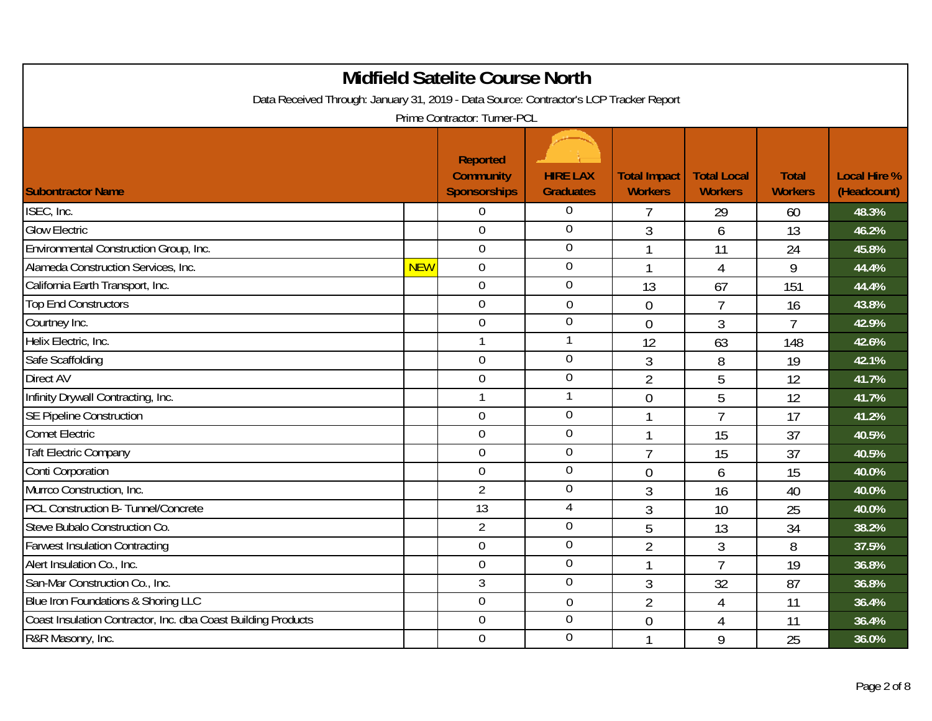| <b>Midfield Satelite Course North</b><br>Data Received Through: January 31, 2019 - Data Source: Contractor's LCP Tracker Report<br>Prime Contractor: Turner-PCL |            |                                                            |                                     |                                       |                                      |                                |                                    |  |  |
|-----------------------------------------------------------------------------------------------------------------------------------------------------------------|------------|------------------------------------------------------------|-------------------------------------|---------------------------------------|--------------------------------------|--------------------------------|------------------------------------|--|--|
| <b>Subontractor Name</b>                                                                                                                                        |            | <b>Reported</b><br><b>Community</b><br><b>Sponsorships</b> | <b>HIRE LAX</b><br><b>Graduates</b> | <b>Total Impact</b><br><b>Workers</b> | <b>Total Local</b><br><b>Workers</b> | <b>Total</b><br><b>Workers</b> | <b>Local Hire %</b><br>(Headcount) |  |  |
| ISEC, Inc.                                                                                                                                                      |            | $\overline{0}$                                             | $\overline{0}$                      |                                       | 29                                   | 60                             | 48.3%                              |  |  |
| <b>Glow Electric</b>                                                                                                                                            |            | $\overline{0}$                                             | $\mathbf 0$                         | $\overline{3}$                        | 6                                    | 13                             | 46.2%                              |  |  |
| Environmental Construction Group, Inc.                                                                                                                          |            | $\mathbf 0$                                                | $\mathbf 0$                         | $\mathbf 1$                           | 11                                   | 24                             | 45.8%                              |  |  |
| Alameda Construction Services, Inc.                                                                                                                             | <b>NEW</b> | $\mathbf 0$                                                | $\overline{0}$                      | $\mathbf{1}$                          | 4                                    | 9                              | 44.4%                              |  |  |
| California Earth Transport, Inc.                                                                                                                                |            | $\mathbf 0$                                                | $\mathbf 0$                         | 13                                    | 67                                   | 151                            | 44.4%                              |  |  |
| <b>Top End Constructors</b>                                                                                                                                     |            | $\mathbf 0$                                                | $\overline{0}$                      | $\overline{0}$                        | $\overline{7}$                       | 16                             | 43.8%                              |  |  |
| Courtney Inc.                                                                                                                                                   |            | $\mathbf 0$                                                | $\mathbf 0$                         | $\overline{0}$                        | 3                                    | $\overline{7}$                 | 42.9%                              |  |  |
| Helix Electric, Inc.                                                                                                                                            |            | $\mathbf{1}$                                               | 1                                   | 12                                    | 63                                   | 148                            | 42.6%                              |  |  |
| Safe Scaffolding                                                                                                                                                |            | $\mathbf 0$                                                | $\mathbf 0$                         | 3                                     | 8                                    | 19                             | 42.1%                              |  |  |
| Direct AV                                                                                                                                                       |            | $\boldsymbol{0}$                                           | $\boldsymbol{0}$                    | $\overline{2}$                        | 5                                    | 12                             | 41.7%                              |  |  |
| Infinity Drywall Contracting, Inc.                                                                                                                              |            | $\mathbf{1}$                                               | 1                                   | $\overline{0}$                        | 5                                    | 12                             | 41.7%                              |  |  |
| <b>SE Pipeline Construction</b>                                                                                                                                 |            | $\mathbf 0$                                                | $\mathbf 0$                         | 1                                     | $\overline{7}$                       | 17                             | 41.2%                              |  |  |
| <b>Comet Electric</b>                                                                                                                                           |            | $\mathbf 0$                                                | $\overline{0}$                      | -1                                    | 15                                   | 37                             | 40.5%                              |  |  |
| <b>Taft Electric Company</b>                                                                                                                                    |            | $\overline{0}$                                             | $\overline{0}$                      | $\overline{7}$                        | 15                                   | 37                             | 40.5%                              |  |  |
| Conti Corporation                                                                                                                                               |            | $\mathbf 0$                                                | $\mathbf 0$                         | $\overline{0}$                        | 6                                    | 15                             | 40.0%                              |  |  |
| Murrco Construction, Inc.                                                                                                                                       |            | $\overline{2}$                                             | $\boldsymbol{0}$                    | 3                                     | 16                                   | 40                             | 40.0%                              |  |  |
| <b>PCL Construction B- Tunnel/Concrete</b>                                                                                                                      |            | $\overline{13}$                                            | $\overline{4}$                      | 3                                     | 10                                   | 25                             | 40.0%                              |  |  |
| Steve Bubalo Construction Co.                                                                                                                                   |            | $\overline{2}$                                             | $\overline{0}$                      | 5                                     | 13                                   | 34                             | 38.2%                              |  |  |
| <b>Farwest Insulation Contracting</b>                                                                                                                           |            | $\mathbf 0$                                                | $\overline{0}$                      | $\overline{2}$                        | $\mathfrak{Z}$                       | 8                              | 37.5%                              |  |  |
| Alert Insulation Co., Inc.                                                                                                                                      |            | $\overline{0}$                                             | $\overline{0}$                      | 1                                     | $\overline{7}$                       | 19                             | 36.8%                              |  |  |
| San-Mar Construction Co., Inc.                                                                                                                                  |            | $\mathfrak{Z}$                                             | $\boldsymbol{0}$                    | 3                                     | 32                                   | 87                             | 36.8%                              |  |  |
| Blue Iron Foundations & Shoring LLC                                                                                                                             |            | $\boldsymbol{0}$                                           | $\mathbf 0$                         | $\overline{2}$                        | $\overline{4}$                       | 11                             | 36.4%                              |  |  |
| Coast Insulation Contractor, Inc. dba Coast Building Products                                                                                                   |            | $\overline{0}$                                             | $\overline{0}$                      | $\overline{0}$                        | 4                                    | 11                             | 36.4%                              |  |  |
| R&R Masonry, Inc.                                                                                                                                               |            | $\mathbf 0$                                                | $\boldsymbol{0}$                    | 1                                     | 9                                    | 25                             | 36.0%                              |  |  |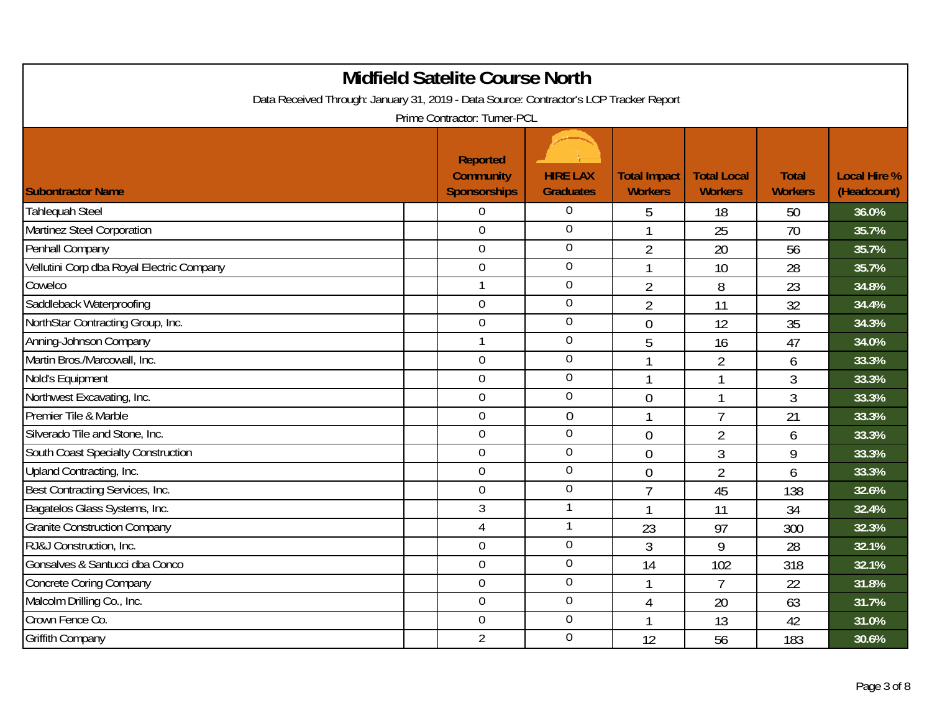| <b>Midfield Satelite Course North</b><br>Data Received Through: January 31, 2019 - Data Source: Contractor's LCP Tracker Report |  |                                                                                            |                                     |                                       |                                      |                                |                                    |  |  |
|---------------------------------------------------------------------------------------------------------------------------------|--|--------------------------------------------------------------------------------------------|-------------------------------------|---------------------------------------|--------------------------------------|--------------------------------|------------------------------------|--|--|
| <b>Subontractor Name</b>                                                                                                        |  | Prime Contractor: Turner-PCL<br><b>Reported</b><br><b>Community</b><br><b>Sponsorships</b> | <b>HIRE LAX</b><br><b>Graduates</b> | <b>Total Impact</b><br><b>Workers</b> | <b>Total Local</b><br><b>Workers</b> | <b>Total</b><br><b>Workers</b> | <b>Local Hire %</b><br>(Headcount) |  |  |
| <b>Tahlequah Steel</b>                                                                                                          |  | $\overline{0}$                                                                             | 0                                   | 5                                     | 18                                   | 50                             | 36.0%                              |  |  |
| Martinez Steel Corporation                                                                                                      |  | $\overline{0}$                                                                             | $\mathbf 0$                         | 1                                     | 25                                   | 70                             | 35.7%                              |  |  |
| Penhall Company                                                                                                                 |  | $\mathbf 0$                                                                                | $\boldsymbol{0}$                    | $\overline{2}$                        | 20                                   | 56                             | 35.7%                              |  |  |
| Vellutini Corp dba Royal Electric Company                                                                                       |  | $\mathbf 0$                                                                                | $\boldsymbol{0}$                    | $\mathbf 1$                           | 10                                   | 28                             | 35.7%                              |  |  |
| Cowelco                                                                                                                         |  | $\mathbf{1}$                                                                               | $\overline{0}$                      | $\overline{2}$                        | 8                                    | 23                             | 34.8%                              |  |  |
| Saddleback Waterproofing                                                                                                        |  | $\boldsymbol{0}$                                                                           | $\mathbf 0$                         | $\overline{2}$                        | 11                                   | 32                             | 34.4%                              |  |  |
| NorthStar Contracting Group, Inc.                                                                                               |  | $\mathbf 0$                                                                                | $\mathbf 0$                         | $\overline{0}$                        | 12                                   | 35                             | 34.3%                              |  |  |
| Anning-Johnson Company                                                                                                          |  | $\mathbf{1}$                                                                               | $\overline{0}$                      | 5                                     | 16                                   | 47                             | 34.0%                              |  |  |
| Martin Bros./Marcowall, Inc.                                                                                                    |  | $\mathbf 0$                                                                                | $\boldsymbol{0}$                    | $\overline{1}$                        | $\overline{2}$                       | 6                              | 33.3%                              |  |  |
| Nold's Equipment                                                                                                                |  | $\boldsymbol{0}$                                                                           | $\mathbf 0$                         | $\mathbf 1$                           | 1                                    | 3                              | 33.3%                              |  |  |
| Northwest Excavating, Inc.                                                                                                      |  | $\overline{0}$                                                                             | $\overline{0}$                      | $\overline{0}$                        | 1                                    | 3                              | 33.3%                              |  |  |
| Premier Tile & Marble                                                                                                           |  | $\mathbf 0$                                                                                | $\mathbf 0$                         | $\mathbf{1}$                          | $\overline{7}$                       | 21                             | 33.3%                              |  |  |
| Silverado Tile and Stone, Inc.                                                                                                  |  | $\mathbf 0$                                                                                | $\overline{0}$                      | $\overline{0}$                        | $\overline{2}$                       | 6                              | 33.3%                              |  |  |
| South Coast Specialty Construction                                                                                              |  | $\overline{0}$                                                                             | $\overline{0}$                      | $\overline{0}$                        | 3                                    | 9                              | 33.3%                              |  |  |
| Upland Contracting, Inc.                                                                                                        |  | $\boldsymbol{0}$                                                                           | $\boldsymbol{0}$                    | $\overline{0}$                        | $\overline{2}$                       | 6                              | 33.3%                              |  |  |
| Best Contracting Services, Inc.                                                                                                 |  | $\boldsymbol{0}$                                                                           | $\mathbf 0$                         | 7                                     | 45                                   | 138                            | 32.6%                              |  |  |
| Bagatelos Glass Systems, Inc.                                                                                                   |  | $\mathfrak{Z}$                                                                             |                                     | 1                                     | 11                                   | 34                             | 32.4%                              |  |  |
| <b>Granite Construction Company</b>                                                                                             |  | $\overline{4}$                                                                             |                                     | 23                                    | 97                                   | 300                            | 32.3%                              |  |  |
| RJ&J Construction, Inc.                                                                                                         |  | $\mathbf 0$                                                                                | $\overline{0}$                      | 3                                     | 9                                    | 28                             | 32.1%                              |  |  |
| Gonsalves & Santucci dba Conco                                                                                                  |  | $\mathbf{0}$                                                                               | $\mathbf 0$                         | 14                                    | 102                                  | 318                            | 32.1%                              |  |  |
| <b>Concrete Coring Company</b>                                                                                                  |  | $\mathbf 0$                                                                                | $\mathbf 0$                         | 1                                     | $\overline{7}$                       | 22                             | 31.8%                              |  |  |
| Malcolm Drilling Co., Inc.                                                                                                      |  | $\boldsymbol{0}$                                                                           | $\boldsymbol{0}$                    | $\overline{4}$                        | 20                                   | 63                             | 31.7%                              |  |  |
| Crown Fence Co.                                                                                                                 |  | $\mathbf 0$                                                                                | $\overline{0}$                      | $\mathbf{1}$                          | 13                                   | 42                             | 31.0%                              |  |  |
| <b>Griffith Company</b>                                                                                                         |  | $\overline{2}$                                                                             | $\overline{0}$                      | 12                                    | 56                                   | 183                            | 30.6%                              |  |  |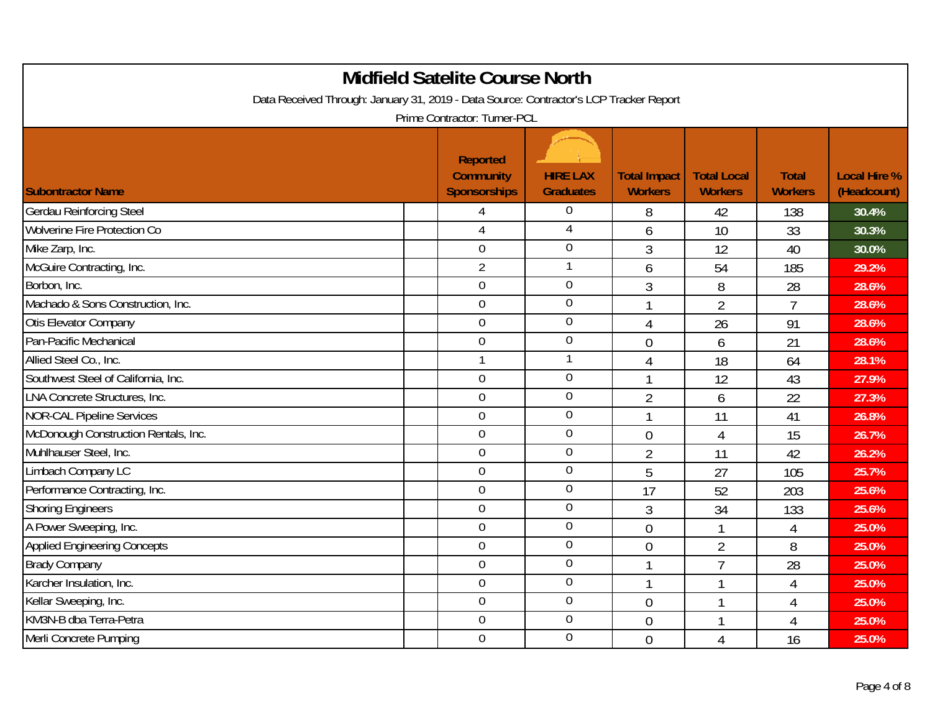| <b>Midfield Satelite Course North</b><br>Data Received Through: January 31, 2019 - Data Source: Contractor's LCP Tracker Report<br>Prime Contractor: Turner-PCL |                                                            |                                     |                                       |                                      |                                |                                    |  |  |  |
|-----------------------------------------------------------------------------------------------------------------------------------------------------------------|------------------------------------------------------------|-------------------------------------|---------------------------------------|--------------------------------------|--------------------------------|------------------------------------|--|--|--|
| <b>Subontractor Name</b>                                                                                                                                        | <b>Reported</b><br><b>Community</b><br><b>Sponsorships</b> | <b>HIRE LAX</b><br><b>Graduates</b> | <b>Total Impact</b><br><b>Workers</b> | <b>Total Local</b><br><b>Workers</b> | <b>Total</b><br><b>Workers</b> | <b>Local Hire %</b><br>(Headcount) |  |  |  |
| <b>Gerdau Reinforcing Steel</b>                                                                                                                                 | 4                                                          | 0                                   | 8                                     | 42                                   | 138                            | 30.4%                              |  |  |  |
| <b>Wolverine Fire Protection Co</b>                                                                                                                             | $\overline{4}$                                             | 4                                   | 6                                     | 10                                   | 33                             | 30.3%                              |  |  |  |
| Mike Zarp, Inc.                                                                                                                                                 | $\mathbf 0$                                                | $\overline{0}$                      | $\overline{3}$                        | 12                                   | 40                             | 30.0%                              |  |  |  |
| McGuire Contracting, Inc.                                                                                                                                       | $\overline{2}$                                             |                                     | 6                                     | 54                                   | 185                            | 29.2%                              |  |  |  |
| Borbon, Inc.                                                                                                                                                    | $\overline{0}$                                             | $\overline{0}$                      | 3                                     | 8                                    | 28                             | 28.6%                              |  |  |  |
| Machado & Sons Construction, Inc.                                                                                                                               | $\mathbf 0$                                                | $\boldsymbol{0}$                    | $\mathbf{1}$                          | $\overline{2}$                       | $\overline{7}$                 | 28.6%                              |  |  |  |
| Otis Elevator Company                                                                                                                                           | $\mathbf 0$                                                | $\overline{0}$                      | $\overline{4}$                        | 26                                   | 91                             | 28.6%                              |  |  |  |
| Pan-Pacific Mechanical                                                                                                                                          | $\overline{0}$                                             | $\overline{0}$                      | $\overline{0}$                        | 6                                    | 21                             | 28.6%                              |  |  |  |
| Allied Steel Co., Inc.                                                                                                                                          | $\overline{1}$                                             | 1                                   | $\overline{4}$                        | 18                                   | 64                             | 28.1%                              |  |  |  |
| Southwest Steel of California, Inc.                                                                                                                             | $\boldsymbol{0}$                                           | $\mathbf 0$                         | $\mathbf{1}$                          | 12                                   | 43                             | 27.9%                              |  |  |  |
| LNA Concrete Structures, Inc.                                                                                                                                   | $\overline{0}$                                             | $\overline{0}$                      | $\overline{2}$                        | 6                                    | 22                             | 27.3%                              |  |  |  |
| <b>NOR-CAL Pipeline Services</b>                                                                                                                                | $\mathbf 0$                                                | $\boldsymbol{0}$                    | $\overline{1}$                        | 11                                   | 41                             | 26.8%                              |  |  |  |
| McDonough Construction Rentals, Inc.                                                                                                                            | $\overline{0}$                                             | $\overline{0}$                      | $\overline{0}$                        | $\overline{4}$                       | 15                             | 26.7%                              |  |  |  |
| Muhlhauser Steel, Inc.                                                                                                                                          | $\overline{0}$                                             | $\mathbf 0$                         | $\overline{2}$                        | 11                                   | 42                             | 26.2%                              |  |  |  |
| Limbach Company LC                                                                                                                                              | $\boldsymbol{0}$                                           | $\boldsymbol{0}$                    | 5                                     | 27                                   | 105                            | 25.7%                              |  |  |  |
| Performance Contracting, Inc.                                                                                                                                   | $\overline{0}$                                             | $\overline{0}$                      | 17                                    | 52                                   | 203                            | 25.6%                              |  |  |  |
| <b>Shoring Engineers</b>                                                                                                                                        | $\overline{0}$                                             | $\overline{0}$                      | 3                                     | 34                                   | 133                            | 25.6%                              |  |  |  |
| A Power Sweeping, Inc.                                                                                                                                          | $\overline{0}$                                             | $\mathbf 0$                         | $\overline{0}$                        |                                      | 4                              | 25.0%                              |  |  |  |
| <b>Applied Engineering Concepts</b>                                                                                                                             | $\overline{0}$                                             | $\mathbf 0$                         | $\overline{0}$                        | $\overline{2}$                       | 8                              | 25.0%                              |  |  |  |
| <b>Brady Company</b>                                                                                                                                            | $\overline{0}$                                             | $\overline{0}$                      | $\mathbf{1}$                          | $\overline{7}$                       | 28                             | 25.0%                              |  |  |  |
| Karcher Insulation, Inc.                                                                                                                                        | $\mathbf 0$                                                | $\boldsymbol{0}$                    | $\mathbf{1}$                          |                                      | $\overline{4}$                 | 25.0%                              |  |  |  |
| Kellar Sweeping, Inc.                                                                                                                                           | $\boldsymbol{0}$                                           | $\boldsymbol{0}$                    | $\overline{0}$                        | 1                                    | $\overline{4}$                 | 25.0%                              |  |  |  |
| KM3N-B dba Terra-Petra                                                                                                                                          | $\overline{0}$                                             | $\overline{0}$                      | $\overline{0}$                        | 1                                    | $\overline{4}$                 | 25.0%                              |  |  |  |
| Merli Concrete Pumping                                                                                                                                          | $\overline{0}$                                             | $\mathbf 0$                         | $\theta$                              | 4                                    | 16                             | 25.0%                              |  |  |  |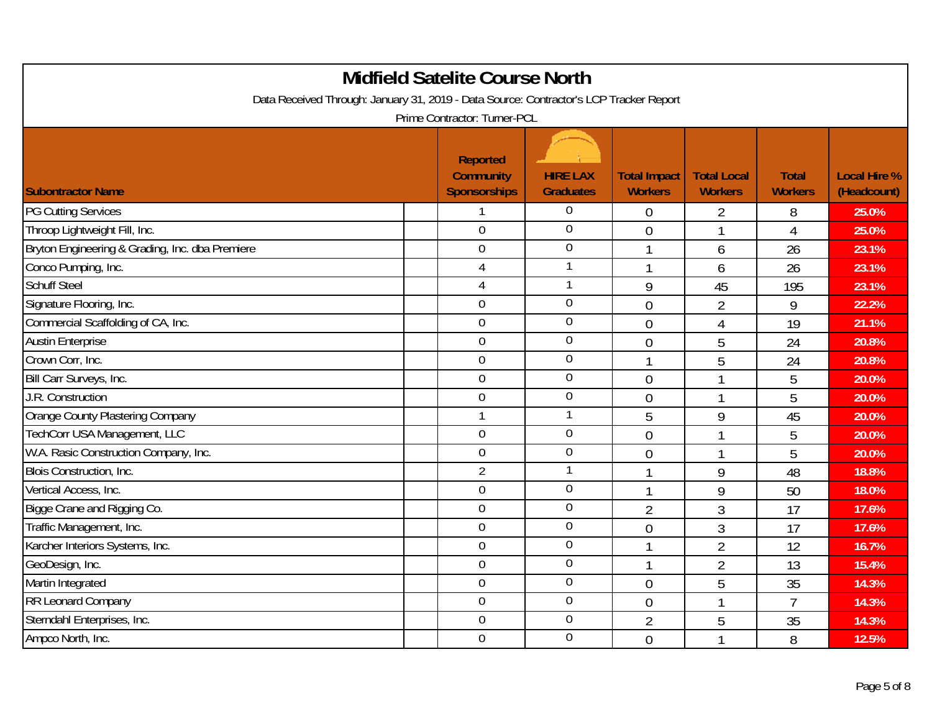| <b>Midfield Satelite Course North</b><br>Data Received Through: January 31, 2019 - Data Source: Contractor's LCP Tracker Report |  |                                                                                     |                                     |                                       |                                      |                                |                                    |  |  |
|---------------------------------------------------------------------------------------------------------------------------------|--|-------------------------------------------------------------------------------------|-------------------------------------|---------------------------------------|--------------------------------------|--------------------------------|------------------------------------|--|--|
| <b>Subontractor Name</b>                                                                                                        |  | Prime Contractor: Turner-PCL<br>Reported<br><b>Community</b><br><b>Sponsorships</b> | <b>HIRE LAX</b><br><b>Graduates</b> | <b>Total Impact</b><br><b>Workers</b> | <b>Total Local</b><br><b>Workers</b> | <b>Total</b><br><b>Workers</b> | <b>Local Hire %</b><br>(Headcount) |  |  |
| <b>PG Cutting Services</b>                                                                                                      |  |                                                                                     | 0                                   | 0                                     | 2                                    | 8                              | 25.0%                              |  |  |
| Throop Lightweight Fill, Inc.                                                                                                   |  | $\overline{0}$                                                                      | 0                                   | $\overline{0}$                        | 1                                    | $\overline{4}$                 | 25.0%                              |  |  |
| Bryton Engineering & Grading, Inc. dba Premiere                                                                                 |  | $\boldsymbol{0}$                                                                    | $\overline{0}$                      | -1                                    | 6                                    | 26                             | 23.1%                              |  |  |
| Conco Pumping, Inc.                                                                                                             |  | $\overline{4}$                                                                      | 1                                   | $\mathbf 1$                           | 6                                    | 26                             | 23.1%                              |  |  |
| <b>Schuff Steel</b>                                                                                                             |  | $\overline{4}$                                                                      | 1                                   | 9                                     | 45                                   | 195                            | 23.1%                              |  |  |
| Signature Flooring, Inc.                                                                                                        |  | $\mathbf 0$                                                                         | 0                                   | $\overline{0}$                        | 2                                    | 9                              | 22.2%                              |  |  |
| Commercial Scaffolding of CA, Inc.                                                                                              |  | $\overline{0}$                                                                      | 0                                   | $\overline{0}$                        | 4                                    | 19                             | 21.1%                              |  |  |
| <b>Austin Enterprise</b>                                                                                                        |  | $\mathbf 0$                                                                         | 0                                   | $\theta$                              | 5                                    | 24                             | 20.8%                              |  |  |
| Crown Corr, Inc.                                                                                                                |  | $\mathbf 0$                                                                         | 0                                   | $\mathbf 1$                           | 5                                    | 24                             | 20.8%                              |  |  |
| Bill Carr Surveys, Inc.                                                                                                         |  | $\mathbf 0$                                                                         | 0                                   | $\overline{0}$                        |                                      | 5                              | 20.0%                              |  |  |
| J.R. Construction                                                                                                               |  | $\mathbf 0$                                                                         | 0                                   | $\theta$                              | 1                                    | 5                              | 20.0%                              |  |  |
| Orange County Plastering Company                                                                                                |  | $\mathbf{1}$                                                                        | 1                                   | 5                                     | 9                                    | 45                             | 20.0%                              |  |  |
| TechCorr USA Management, LLC                                                                                                    |  | $\mathbf 0$                                                                         | 0                                   | $\overline{0}$                        |                                      | 5                              | 20.0%                              |  |  |
| W.A. Rasic Construction Company, Inc.                                                                                           |  | $\mathbf 0$                                                                         | 0                                   | $\theta$                              |                                      | 5                              | 20.0%                              |  |  |
| Blois Construction, Inc.                                                                                                        |  | $\overline{2}$                                                                      | 1                                   | $\mathbf{1}$                          | 9                                    | 48                             | 18.8%                              |  |  |
| Vertical Access, Inc.                                                                                                           |  | $\overline{0}$                                                                      | 0                                   | $\mathbf{1}$                          | 9                                    | 50                             | 18.0%                              |  |  |
| Bigge Crane and Rigging Co.                                                                                                     |  | $\mathbf 0$                                                                         | $\overline{0}$                      | $\overline{2}$                        | 3                                    | 17                             | 17.6%                              |  |  |
| Traffic Management, Inc.                                                                                                        |  | $\mathbf 0$                                                                         | 0                                   | $\overline{0}$                        | $\mathfrak{Z}$                       | 17                             | 17.6%                              |  |  |
| Karcher Interiors Systems, Inc.                                                                                                 |  | $\mathbf 0$                                                                         | 0                                   | $\mathbf{1}$                          | $\overline{2}$                       | 12                             | 16.7%                              |  |  |
| GeoDesign, Inc.                                                                                                                 |  | $\mathbf 0$                                                                         | 0                                   | $\mathbf{1}$                          | $\overline{2}$                       | 13                             | 15.4%                              |  |  |
| Martin Integrated                                                                                                               |  | $\mathbf 0$                                                                         | 0                                   | $\theta$                              | 5                                    | 35                             | 14.3%                              |  |  |
| RR Leonard Company                                                                                                              |  | $\mathbf 0$                                                                         | 0                                   | $\overline{0}$                        |                                      | $\overline{7}$                 | 14.3%                              |  |  |
| Sterndahl Enterprises, Inc.                                                                                                     |  | $\overline{0}$                                                                      | 0                                   | $\overline{2}$                        | 5                                    | 35                             | 14.3%                              |  |  |
| Ampco North, Inc.                                                                                                               |  | $\mathbf 0$                                                                         | 0                                   | $\overline{0}$                        |                                      | 8                              | 12.5%                              |  |  |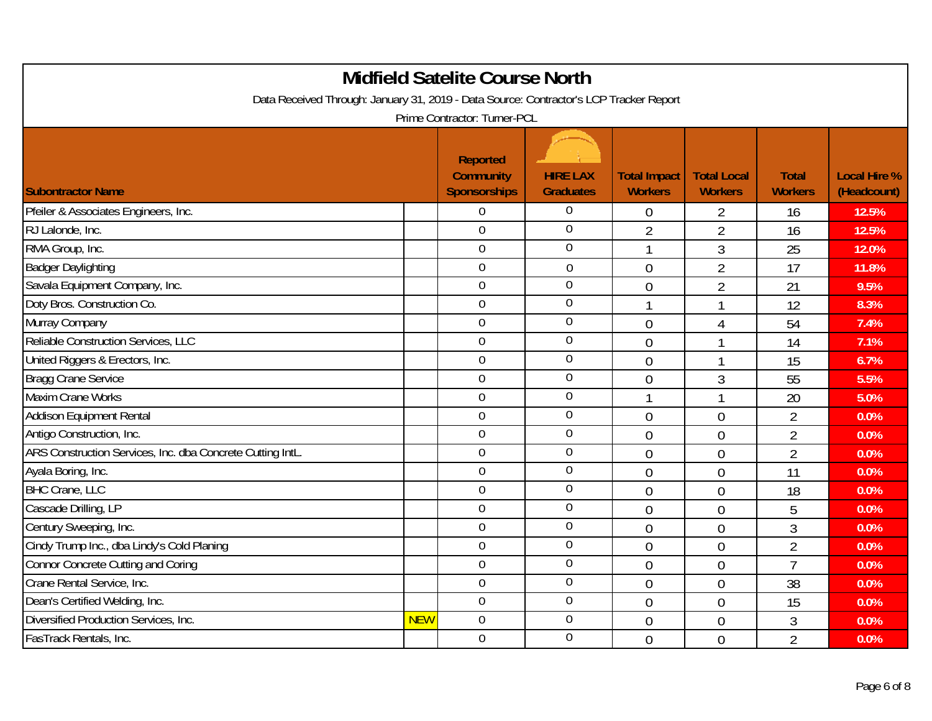| <b>Midfield Satelite Course North</b><br>Data Received Through: January 31, 2019 - Data Source: Contractor's LCP Tracker Report<br>Prime Contractor: Turner-PCL |            |                                                            |                                     |                                       |                                      |                                |                                    |  |  |
|-----------------------------------------------------------------------------------------------------------------------------------------------------------------|------------|------------------------------------------------------------|-------------------------------------|---------------------------------------|--------------------------------------|--------------------------------|------------------------------------|--|--|
| <b>Subontractor Name</b>                                                                                                                                        |            | <b>Reported</b><br><b>Community</b><br><b>Sponsorships</b> | <b>HIRE LAX</b><br><b>Graduates</b> | <b>Total Impact</b><br><b>Workers</b> | <b>Total Local</b><br><b>Workers</b> | <b>Total</b><br><b>Workers</b> | <b>Local Hire %</b><br>(Headcount) |  |  |
| Pfeiler & Associates Engineers, Inc.                                                                                                                            |            | 0                                                          | $\overline{0}$                      | $\theta$                              | 2                                    | 16                             | 12.5%                              |  |  |
| RJ Lalonde, Inc.                                                                                                                                                |            | $\overline{0}$                                             | $\overline{0}$                      | $\overline{2}$                        | $\overline{2}$                       | 16                             | 12.5%                              |  |  |
| RMA Group, Inc.                                                                                                                                                 |            | $\overline{0}$                                             | $\overline{0}$                      | 1                                     | 3                                    | 25                             | 12.0%                              |  |  |
| <b>Badger Daylighting</b>                                                                                                                                       |            | $\boldsymbol{0}$                                           | $\overline{0}$                      | $\overline{0}$                        | $\overline{2}$                       | 17                             | 11.8%                              |  |  |
| Savala Equipment Company, Inc.                                                                                                                                  |            | $\mathbf 0$                                                | $\mathbf 0$                         | $\overline{0}$                        | $\overline{2}$                       | 21                             | 9.5%                               |  |  |
| Doty Bros. Construction Co.                                                                                                                                     |            | $\boldsymbol{0}$                                           | $\mathbf 0$                         | -1                                    | $\mathbf 1$                          | 12                             | 8.3%                               |  |  |
| Murray Company                                                                                                                                                  |            | $\overline{0}$                                             | $\overline{0}$                      | $\overline{0}$                        | 4                                    | 54                             | 7.4%                               |  |  |
| Reliable Construction Services, LLC                                                                                                                             |            | $\mathbf 0$                                                | $\mathbf 0$                         | $\overline{0}$                        | $\overline{1}$                       | 14                             | 7.1%                               |  |  |
| United Riggers & Erectors, Inc.                                                                                                                                 |            | $\boldsymbol{0}$                                           | $\boldsymbol{0}$                    | $\theta$                              | $\mathbf{1}$                         | 15                             | 6.7%                               |  |  |
| <b>Bragg Crane Service</b>                                                                                                                                      |            | $\mathbf 0$                                                | $\mathbf 0$                         | $\theta$                              | 3                                    | 55                             | 5.5%                               |  |  |
| <b>Maxim Crane Works</b>                                                                                                                                        |            | $\mathbf 0$                                                | $\mathbf 0$                         | $\mathbf{1}$                          | 1                                    | 20                             | 5.0%                               |  |  |
| Addison Equipment Rental                                                                                                                                        |            | $\boldsymbol{0}$                                           | $\mathbf 0$                         | $\mathbf 0$                           | $\overline{0}$                       | $\overline{2}$                 | 0.0%                               |  |  |
| Antigo Construction, Inc.                                                                                                                                       |            | $\mathbf 0$                                                | $\overline{0}$                      | $\theta$                              | $\overline{0}$                       | $\overline{2}$                 | 0.0%                               |  |  |
| ARS Construction Services, Inc. dba Concrete Cutting IntL.                                                                                                      |            | $\mathbf 0$                                                | $\mathbf 0$                         | $\overline{0}$                        | $\overline{0}$                       | $\overline{2}$                 | 0.0%                               |  |  |
| Ayala Boring, Inc.                                                                                                                                              |            | $\boldsymbol{0}$                                           | $\mathbf 0$                         | $\mathbf 0$                           | $\overline{0}$                       | 11                             | 0.0%                               |  |  |
| <b>BHC Crane, LLC</b>                                                                                                                                           |            | $\mathbf 0$                                                | $\overline{0}$                      | $\theta$                              | $\overline{0}$                       | 18                             | 0.0%                               |  |  |
| Cascade Drilling, LP                                                                                                                                            |            | $\mathbf 0$                                                | $\overline{0}$                      | $\theta$                              | $\overline{0}$                       | 5                              | 0.0%                               |  |  |
| Century Sweeping, Inc.                                                                                                                                          |            | $\mathbf 0$                                                | $\mathbf 0$                         | $\overline{0}$                        | $\overline{0}$                       | 3                              | 0.0%                               |  |  |
| Cindy Trump Inc., dba Lindy's Cold Planing                                                                                                                      |            | $\mathbf 0$                                                | $\mathbf 0$                         | $\overline{0}$                        | $\overline{0}$                       | $\overline{2}$                 | 0.0%                               |  |  |
| <b>Connor Concrete Cutting and Coring</b>                                                                                                                       |            | $\mathbf 0$                                                | $\mathbf 0$                         | $\overline{0}$                        | $\overline{0}$                       | $\overline{7}$                 | 0.0%                               |  |  |
| Crane Rental Service, Inc.                                                                                                                                      |            | $\boldsymbol{0}$                                           | $\boldsymbol{0}$                    | $\theta$                              | $\overline{0}$                       | 38                             | 0.0%                               |  |  |
| Dean's Certified Welding, Inc.                                                                                                                                  |            | $\mathbf 0$                                                | $\mathbf 0$                         | $\overline{0}$                        | $\overline{0}$                       | 15                             | 0.0%                               |  |  |
| Diversified Production Services, Inc.                                                                                                                           | <b>NEW</b> | $\overline{0}$                                             | $\mathbf 0$                         | $\overline{0}$                        | $\overline{0}$                       | 3                              | 0.0%                               |  |  |
| FasTrack Rentals, Inc.                                                                                                                                          |            | $\mathbf 0$                                                | $\mathbf 0$                         | $\overline{0}$                        | $\overline{0}$                       | $\overline{2}$                 | 0.0%                               |  |  |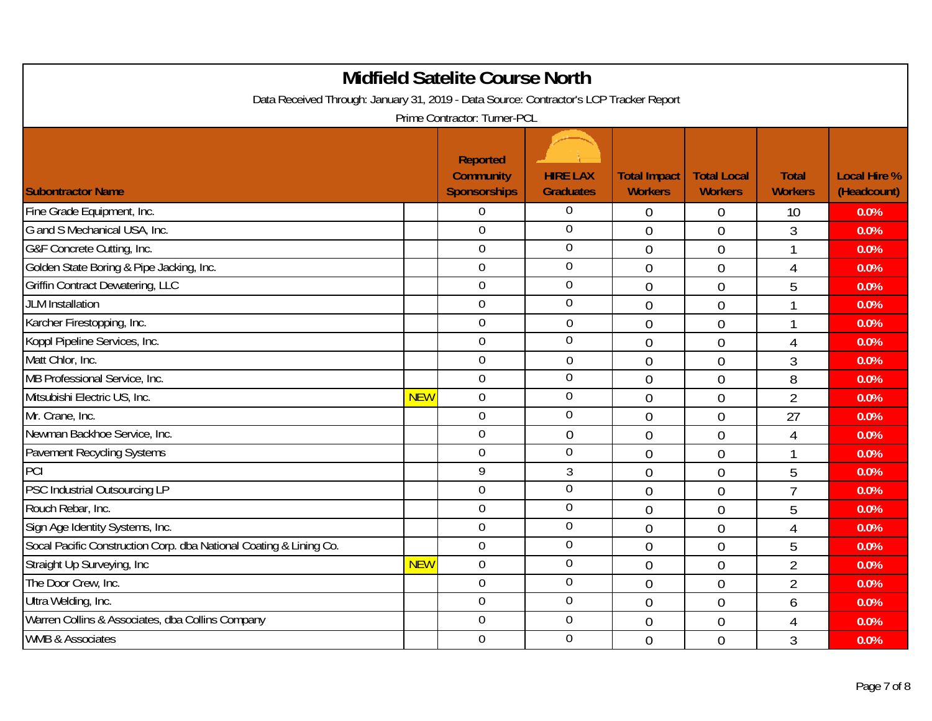| <b>Midfield Satelite Course North</b><br>Data Received Through: January 31, 2019 - Data Source: Contractor's LCP Tracker Report |            |                                                            |                                     |                                       |                                      |                                |                                    |  |
|---------------------------------------------------------------------------------------------------------------------------------|------------|------------------------------------------------------------|-------------------------------------|---------------------------------------|--------------------------------------|--------------------------------|------------------------------------|--|
|                                                                                                                                 |            | Prime Contractor: Turner-PCL                               |                                     |                                       |                                      |                                |                                    |  |
| <b>Subontractor Name</b>                                                                                                        |            | <b>Reported</b><br><b>Community</b><br><b>Sponsorships</b> | <b>HIRE LAX</b><br><b>Graduates</b> | <b>Total Impact</b><br><b>Workers</b> | <b>Total Local</b><br><b>Workers</b> | <b>Total</b><br><b>Workers</b> | <b>Local Hire %</b><br>(Headcount) |  |
| Fine Grade Equipment, Inc.                                                                                                      |            | $\overline{0}$                                             | $\mathbf 0$                         | $\overline{0}$                        | 0                                    | 10                             | 0.0%                               |  |
| G and S Mechanical USA, Inc.                                                                                                    |            | $\mathbf 0$                                                | $\overline{0}$                      | $\overline{0}$                        | $\overline{0}$                       | $\overline{3}$                 | 0.0%                               |  |
| G&F Concrete Cutting, Inc.                                                                                                      |            | $\overline{0}$                                             | $\overline{0}$                      | $\overline{0}$                        | $\overline{0}$                       |                                | 0.0%                               |  |
| Golden State Boring & Pipe Jacking, Inc.                                                                                        |            | $\mathbf 0$                                                | $\overline{0}$                      | $\overline{0}$                        | $\overline{0}$                       | 4                              | 0.0%                               |  |
| <b>Griffin Contract Dewatering, LLC</b>                                                                                         |            | $\boldsymbol{0}$                                           | $\overline{0}$                      | $\overline{0}$                        | $\overline{0}$                       | 5                              | 0.0%                               |  |
| <b>JLM</b> Installation                                                                                                         |            | $\overline{0}$                                             | $\overline{0}$                      | $\overline{0}$                        | $\overline{0}$                       |                                | 0.0%                               |  |
| Karcher Firestopping, Inc.                                                                                                      |            | $\mathbf 0$                                                | 0                                   | $\overline{0}$                        | $\overline{0}$                       |                                | 0.0%                               |  |
| Koppl Pipeline Services, Inc.                                                                                                   |            | $\overline{0}$                                             | $\overline{0}$                      | $\overline{0}$                        | $\overline{0}$                       | $\overline{4}$                 | 0.0%                               |  |
| Matt Chlor, Inc.                                                                                                                |            | $\mathbf 0$                                                | 0                                   | $\overline{0}$                        | $\overline{0}$                       | 3                              | 0.0%                               |  |
| MB Professional Service, Inc.                                                                                                   |            | $\mathbf 0$                                                | $\mathbf 0$                         | $\overline{0}$                        | $\overline{0}$                       | 8                              | 0.0%                               |  |
| Mitsubishi Electric US, Inc.                                                                                                    | <b>NEW</b> | $\mathbf 0$                                                | $\overline{0}$                      | $\overline{0}$                        | $\overline{0}$                       | $\overline{2}$                 | 0.0%                               |  |
| Mr. Crane, Inc.                                                                                                                 |            | $\overline{0}$                                             | $\overline{0}$                      | $\overline{0}$                        | $\overline{0}$                       | 27                             | 0.0%                               |  |
| Newman Backhoe Service, Inc.                                                                                                    |            | $\mathbf 0$                                                | $\overline{0}$                      | $\overline{0}$                        | $\overline{0}$                       | 4                              | 0.0%                               |  |
| <b>Pavement Recycling Systems</b>                                                                                               |            | $\overline{0}$                                             | $\overline{0}$                      | $\overline{0}$                        | $\Omega$                             |                                | 0.0%                               |  |
| PCI                                                                                                                             |            | 9                                                          | 3                                   | $\overline{0}$                        | $\overline{0}$                       | 5                              | 0.0%                               |  |
| PSC Industrial Outsourcing LP                                                                                                   |            | $\boldsymbol{0}$                                           | $\overline{0}$                      | $\overline{0}$                        | $\overline{0}$                       | $\overline{7}$                 | 0.0%                               |  |
| Rouch Rebar, Inc.                                                                                                               |            | $\overline{0}$                                             | $\mathbf 0$                         | $\overline{0}$                        | $\Omega$                             | 5                              | 0.0%                               |  |
| Sign Age Identity Systems, Inc.                                                                                                 |            | $\mathbf 0$                                                | $\overline{0}$                      | $\overline{0}$                        | $\overline{0}$                       | $\overline{4}$                 | 0.0%                               |  |
| Socal Pacific Construction Corp. dba National Coating & Lining Co.                                                              |            | $\mathbf 0$                                                | $\overline{0}$                      | $\overline{0}$                        | $\theta$                             | 5                              | 0.0%                               |  |
| Straight Up Surveying, Inc.                                                                                                     | <b>NEW</b> | $\overline{0}$                                             | $\mathbf 0$                         | $\overline{0}$                        | $\overline{0}$                       | $\overline{2}$                 | 0.0%                               |  |
| The Door Crew, Inc.                                                                                                             |            | $\overline{0}$                                             | $\boldsymbol{0}$                    | $\overline{0}$                        | $\overline{0}$                       | $\overline{2}$                 | 0.0%                               |  |
| Ultra Welding, Inc.                                                                                                             |            | $\boldsymbol{0}$                                           | $\mathbf 0$                         | $\overline{0}$                        | $\overline{0}$                       | 6                              | 0.0%                               |  |
| Warren Collins & Associates, dba Collins Company                                                                                |            | $\overline{0}$                                             | $\mathbf 0$                         | $\overline{0}$                        | $\overline{0}$                       | 4                              | 0.0%                               |  |
| <b>WMB &amp; Associates</b>                                                                                                     |            | $\overline{0}$                                             | $\mathbf 0$                         | $\overline{0}$                        | $\overline{0}$                       | 3                              | 0.0%                               |  |